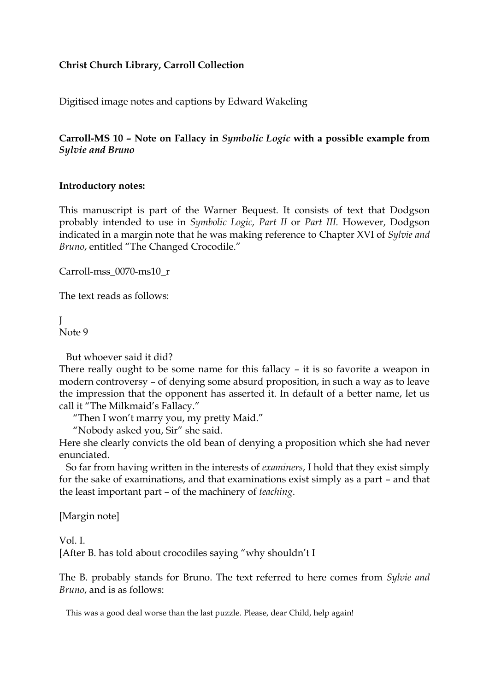## **Christ Church Library, Carroll Collection**

Digitised image notes and captions by Edward Wakeling

## **Carroll-MS 10 – Note on Fallacy in** *Symbolic Logic* **with a possible example from** *Sylvie and Bruno*

## **Introductory notes:**

This manuscript is part of the Warner Bequest. It consists of text that Dodgson probably intended to use in *Symbolic Logic, Part II* or *Part III.* However, Dodgson indicated in a margin note that he was making reference to Chapter XVI of *Sylvie and Bruno*, entitled "The Changed Crocodile."

Carroll-mss\_0070-ms10\_r

The text reads as follows:

 $\mathbf{I}$ 

Note 9

But whoever said it did?

There really ought to be some name for this fallacy – it is so favorite a weapon in modern controversy – of denying some absurd proposition, in such a way as to leave the impression that the opponent has asserted it. In default of a better name, let us call it "The Milkmaid's Fallacy."

"Then I won't marry you, my pretty Maid."

"Nobody asked you, Sir" she said.

Here she clearly convicts the old bean of denying a proposition which she had never enunciated.

So far from having written in the interests of *examiners*, I hold that they exist simply for the sake of examinations, and that examinations exist simply as a part – and that the least important part – of the machinery of *teaching*.

[Margin note]

Vol. I.

[After B. has told about crocodiles saying "why shouldn't I

The B. probably stands for Bruno. The text referred to here comes from *Sylvie and Bruno*, and is as follows:

This was a good deal worse than the last puzzle. Please, dear Child, help again!